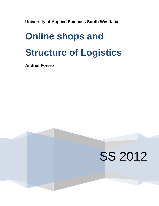**University of Applied Sciences South Westfalia**

# **Online shops and Structure of Logistics**

**Andrés Forero** 

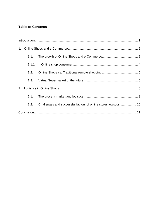# **Table of Contents**

|    | 1.1. |                                                                  |  |  |
|----|------|------------------------------------------------------------------|--|--|
|    |      |                                                                  |  |  |
|    | 1.2. |                                                                  |  |  |
|    | 1.3. |                                                                  |  |  |
| 2. |      |                                                                  |  |  |
|    | 2.1. |                                                                  |  |  |
|    | 2.2. | Challenges and successful factors of online stores logistics  10 |  |  |
|    |      |                                                                  |  |  |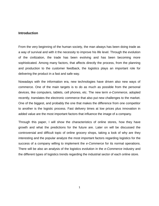## <span id="page-2-0"></span>**Introduction**

From the very beginning of the human society, the man always has been doing trade as a way of survival and with it the necessity to improve his life level. Through the evolution of the civilization, the trade has been evolving and has been becoming more sophisticated. Among many factors, that affects directly the process, from the planning and production to the customer feedback, the logistics plays an important role for delivering the product in a fast and safe way.

Nowadays with the information era, new technologies have driven also new ways of commerce. One of the main targets is to do as much as possible from the personal devices, like computers, tablets, cell phones, etc. The new term *e-Commerce*, adopted recently, translates the electronic commerce that also put new challenges to the market. One of the biggest, and probably the one that makes the difference from one competitor to another is the logistic process. Fast delivery times at low prices plus innovation in added value are the most important factors that influence the image of a company.

Through this paper, I will show the characteristics of online stores, how they have growth and what the predictions for the future are. Later on will be discussed the controversial and difficult topic of online grocery shops, taking a look of why are they interesting and the popular analyze the most important factors regarding logistics for the success of a company willing to implement the *e-Commerce* for its normal operations. There will be also an analysis of the logistics evolution in the *e-Commerce* industry and the different types of logistics trends regarding the industrial sector of each online store.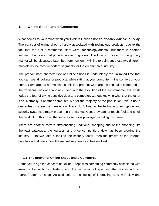#### <span id="page-3-0"></span>**1. Online Shops and e-Commerce**

What comes to your mind when you think in Online Shops? Probably *Amazon* or *eBay*. The concept of online shop is hardly associated with technology products, due to the fact that the first e-commerce users were "technology-adepts", but there is another segment that is not that popular like tech: grocery. The logistic process for the grocery market will be discussed later, but from now on, I will like to point out these two different markets as the most important segments for the e-commerce industry.

The predominant characteristic of Online Shops is undoubtedly the unlimited time that you can spend looking for products, while sitting at your computer in the comfort of your home. Compared to normal shops, this is a pro, but what are the cons also compared to the traditional way of shopping? Even with the evolution of the e-commerce, still exists today the fear of giving sensitive data to a computer, without knowing who is at the other side. Normally is another computer, but for the majority of the population, this is not a guarantee of a secure transaction. Many don't trust in the technology encryption and security systems already present in the market. Also, they cannot touch, feel and smell the product. In this case, the services sector is privileged avoiding this issue.

There are another factors differentiating traditional shopping and online shopping like the vast catalogue, the logistics, and price competition. How has been growing the industry? First we take a look to the security factor, then the growth of the Internet population and finally how the market segmentation has evolved.

#### <span id="page-3-1"></span>**1.1.The growth of Online Shops and e-Commerce**

Some years ago the concept of Online Shops was something commonly associated with insecure transactions, phishing and the sensation of spending the money with an "unreal" agent or shop. As said before, the feeling of interacting (and with slow and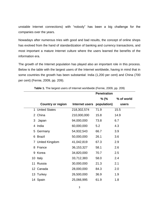unstable Internet connections) with "nobody" has been a big challenge for the companies over the years.

Nowadays after numerous tries with good and bad results, the concept of online shops has evolved from the hand of standardization of banking and currency transactions, and most important a mature Internet culture where the users learned the benefits of the information era.

The growth of the Internet population has played also an important role in this process. Below is the table with the largest users of the Internet worldwide, having in mind that in some countries the growth has been substantial: India (1,200 per cent) and China (700 per cent) (Fernie, 2009, pp. 209).

|                          | <b>Penetration</b> |             |            |
|--------------------------|--------------------|-------------|------------|
|                          |                    | % (%        | % of world |
| <b>Country or region</b> | Internet users     | population) | users      |
| 1 United States          | 218,302,574        | 71.9        | 15.5       |
| 2 China                  | 210,000,000        | 15.8        | 14.9       |
| 3 Japan                  | 94,000,000         | 73.8        | 6.7        |
| 4 India                  | 60,000,000         | 5.2         | 4.3        |
| 5 Germany                | 54,932,543         | 66.7        | 3.9        |
| 6 Brazil                 | 50,000,000         | 26.1        | 3.6        |
| 7 United Kingdom         | 41,042,819         | 67.3        | 2.9        |
| 8 France                 | 36,153,327         | 58.1        | 2.6        |
| 9 Korea                  | 34,820,000         | 70.7        | 2.5        |
| 10 Italy                 | 33,712,383         | 58.0        | 2.4        |
| 11 Russia                | 30,000,000         | 21.3        | 2.1        |
| 12 Canada                | 28,000,000         | 84.3        | 2.0        |
| 13 Turkey                | 26,500,000         | 36.9        | 1.9        |
| 14 Spain                 | 25,066,995         | 61.9        | 1.8        |

**Table 1.** The largest users of Internet worldwide (Fernie, 2009, pp. 209)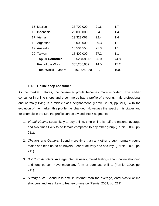| 15 Mexico                  | 23,700,000    | 21.6 | 1.7   |
|----------------------------|---------------|------|-------|
| 16 Indonesia               | 20,000,000    | 8.4  | 1.4   |
| 17 Vietnam                 | 19,323,062    | 22.4 | 1.4   |
| 18 Argentina               | 16,000,000    | 39.3 | 1.1   |
| 19 Australia               | 15,504,558    | 75.3 | 1.1   |
| 20 Taiwan                  | 15,400,000    | 67.2 | 1.1   |
| <b>Top 20 Countries</b>    | 1,052,458,261 | 25.0 | 74.8  |
| Rest of the World          | 355,266,659   | 14.5 | 15.2  |
| <b>Total World - Users</b> | 1,407,724,920 | 21.1 | 100.0 |

#### **1.1.1. Online shop consumer**

<span id="page-5-0"></span>As the market matures, the consumer profile becomes more important. The earlier consumer in online shops and e-commerce had a profile of a young, male professional and normally living in a middle-class neighborhood (Fernie, 2009, pp. 211). With the evolution of the market, this profile has changed. Nowadays the spectrum is bigger and for example in the UK, the profile can be divided into 5 segments:

- 1. *Virtual Virgins:* Least likely to buy online, time online is half the national average and two times likely to be female compared to any other group (Fernie, 2009, pp. 211).
- 2. *Chatters and Gamers:* Spend more time than any other group, normally young males and tend not to be buyers. Fear of delivery and security. (Fernie, 2009, pp. 211).
- 3. *Dot Com dabblers:* Average Internet users, mixed feelings about online shopping and forty percent have made any form of purchase online. (Fernie, 2009, pp. 211).
- 4. *Surfing suits:* Spend less time in Internet than the average, enthusiastic online shoppers and less likely to fear e-commerce (Fernie, 2009, pp. 211)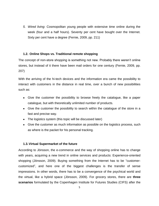*5. Wired living:* Cosmopolitan young people with extensive time online during the week (four and a half hours). Seventy per cent have bought over the Internet. Sixty per cent have a degree (Fernie, 2009, pp. 211)

#### <span id="page-6-0"></span>**1.2. Online Shops vs. Traditional remote shopping**

The concept of non-store shopping is something not new. Probably there weren't online stores, but instead of it there have been mail orders for one century (Fernie, 2009, pp. 207)

With the arriving of the hi-tech devices and the information era came the possibility to interact with customers in the distance in real time, over a bunch of new possibilities such as:

- Give the customer the possibility to browse freely the catalogue, like a paper catalogue, but with theoretically unlimited number of products.
- Give the customer the possibility to search within the catalogue of the store in a fast and precise way.
- The logistics system (this topic will be discussed later)
- Give the customer as much information as possible on the logistics process, such as where is the packet for his personal tracking.

# <span id="page-6-1"></span>**1.3.Virtual Supermarket of the future**

According to Jönsson, the e-commerce and the way of shopping online has to change with years, acquiring a new trend in online services and products: Experience-oriented shopping (Jönsson, 2009). Buying something from the Internet has to be "customercustomized", and here one of the biggest challenges is the transfer of sense impressions. In other words, there has to be a convergence of the psychical world and the virtual, like a hybrid space (Jönsson, 2009). For grocery stores, there are **three scenarios** formulated by the Copenhagen Institute for Futures Studies (CIFS) after the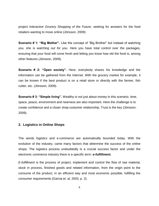project *Interactive Grocery Shopping of the Future,* seeking for answers for the food retailers wanting to move online (Jönsson, 2009):

**Scenario # 1: "Big Mother".** Like the concept of "Big Brother" but instead of watching you, she is *watching out for you*. Here you have total control over the packages, ensuring that your food will come fresh and letting you know how old the food is, among other features (Jönsson, 2009).

**Scenario # 2: "Open society".** Here, everybody shares his knowledge and the information can be gathered from the Internet. With the grocery market for example, it can be known if the best product is on a retail store or directly with the farmer, fish cutter, etc. (Jönsson, 2009).

**Scenario # 3: "Simple living".** Wealthy is not just about money in this scenario. time, space, peace, environment and nearness are also important. Here the challenge is to create confidence and a closer shop-costumer relationship. Trust is the key (Jönsson, 2009).

# <span id="page-7-0"></span>**2. Logistics in Online Shops**

The words logistics and e-commerce are automatically bounded today. With the evolution of the industry, came many factors that determine the success of the online shops. The logistics process undoubtedly is a crucial success factor and under the electronic commerce industry there is a specific term: *e-fulfillment.*

*E-fulfillment* is the process of project, implement and control the flow of raw material, stock in process, finished goods and related information, from the origin point to the consume of the product, in an efficient way and most economic possible, fulfilling the consumer requirements (Garcia et. al, 2003, p. 2).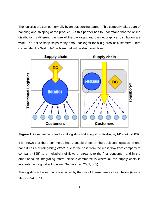The logistics are carried normally by an outsourcing partner. This company takes care of handling and shipping of the product. But this partner has to understand that the online distribution is different: the size of the packages and the geographical distribution are wide. The online shop ships many small packages for a big area of customers. Here comes also the "last mile" problem that will be discussed later.



**Figure 1.** Comparison of traditional logistics and e-logistics. Rodrigue, J-P *et al.* (2009)

It is known that the e-commerce has a double effect on the traditional logistics: in one hand it has a *disintegrating effect*, due to the pass from the mass flow from company to company (B2B) to a multiplicity of flows or streams to the final consumer, and in the other hand an integrating effect, since e-commerce is where all the supply chain is integrated on a good sold online (Garcia et. al, 2003, p. 5).

The logistics activities that are affected by the use of Internet are as listed below (Garcia et. al, 2003, p. 4):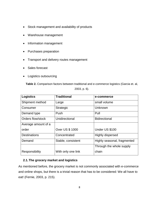- Stock management and availability of products
- Warehouse management
- Information management
- Purchases preparation
- Transport and delivery routes management
- Sales forecast
- Logistics outsourcing

**Table 2.** Comparison factors between traditional and e-commerce logistics (Garcia et. al,

2003, p. 6).

| <b>Logistics</b>    | <b>Traditional</b>     | e-commerce                  |
|---------------------|------------------------|-----------------------------|
| Shipment method     | Large                  | small volume                |
| Consumer            | <b>Strategic</b>       | Unknown                     |
| Demand type         | Push                   | Pull                        |
| Orders flow/stock   | Unidirectional         | <b>Bidirectional</b>        |
| Average amount of a |                        |                             |
| order               | <b>Over US \$ 1000</b> | Under US \$100              |
| <b>Destinations</b> | Concentrated           | Highly dispersed            |
| Demand              | Stable, consistent     | Highly seasonal, fragmented |
|                     |                        | Through the whole supply    |
| Responsibility      | With only one link     | chain                       |

# <span id="page-9-0"></span>**2.1.The grocery market and logistics**

As mentioned before, the grocery market is not commonly associated with e-commerce and online shops, but there is a trivial reason that has to be considered: We all have to eat! (Fernie, 2003, p. 215).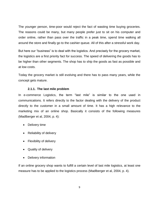The younger person, time-poor would reject the fact of wasting time buying groceries. The reasons could be many, but many people prefer just to sit on his computer and order online, rather than pass over the traffic in a peak time, spend time walking all around the store and finally go to the cashier queue. All of this after a stressful work day.

But here our "business" is to deal with the logistics. And precisely for the grocery market, the logistics are a first priority fact for success. The speed of delivering the goods has to be higher than other segments. The shop has to ship the goods as fast as possible and at low costs.

Today the grocery market is still evolving and there has to pass many years, while the concept gets mature.

#### **2.1.1. The last mile problem**

In e-commerce Logistics, the term "last mile" is similar to the one used in communications. It refers directly to the factor dealing with the delivery of the product directly to the customer in a small amount of time. It has a high relevance to the marketing mix of an online shop. Basically it consists of the following measures (Madlberger et al, 2004, p. 4):

- Delivery time
- Reliability of delivery
- Flexibility of delivery
- Quality of delivery
- Delivery information

If an online grocery shop wants to fulfill a certain level of last mile logistics, at least one measure has to be applied to the logistics process (Madlberger et al, 2004, p. 4).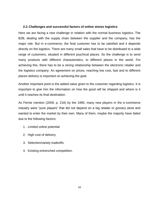## <span id="page-11-0"></span>**2.2.Challenges and successful factors of online stores logistics**

Here we are facing a new challenge in relation with the normal business logistics. The B2B, dealing with the supply chain between the supplier and the company, has the major role. But in e-commerce, the final customer has to be satisfied and it depends directly on the logistics. There are many small sales that have to be distributed to a wide range of customers, situated in different psychical places. So the challenge is to send many products with different characteristics, to different places in the world. For achieving this, there has to be a strong relationship between the electronic retailer and the logistics company. An agreement on prices, reaching low cost, fast and to different places delivery is important on achieving the goal.

Another important point is the added value given to the costumer regarding logistics. It is important to give him the information on how the good will be shipped and where is it until it reaches its final destination.

As Fernie mention (2009, p. 216) by the 1990, many new players in the e-commerce industry were "pure players" that did not depend on a big retailer or grocery store and wanted to enter the market by their own. Many of them, maybe the majority have failed due to the following factors:

- 1. Limited online potential
- 2. High cost of delivery
- 3. Selection/variety tradeoffs.
- <span id="page-11-1"></span>4. Existing entrenched competition.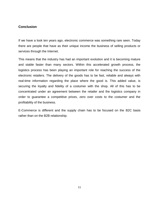# **Conclusion**

If we have a look ten years ago, electronic commerce was something rare seen. Today there are people that have as their unique income the business of selling products or services through the Internet.

This means that the industry has had an important evolution and it is becoming mature and stable faster than many sectors. Within this accelerated growth process, the logistics process has been playing an important role for reaching the success of the electronic retailers. The delivery of the goods has to be fast, reliable and always with real-time information regarding the place where the good is. This added value, is securing the loyalty and fidelity of a costumer with the shop. All of this has to be concentrated under an agreement between the retailer and the logistics company in order to guarantee a competitive prices, zero over costs to the costumer and the profitability of the business.

E-Commerce is different and the supply chain has to be focused on the B2C basis rather than on the B2B relationship.